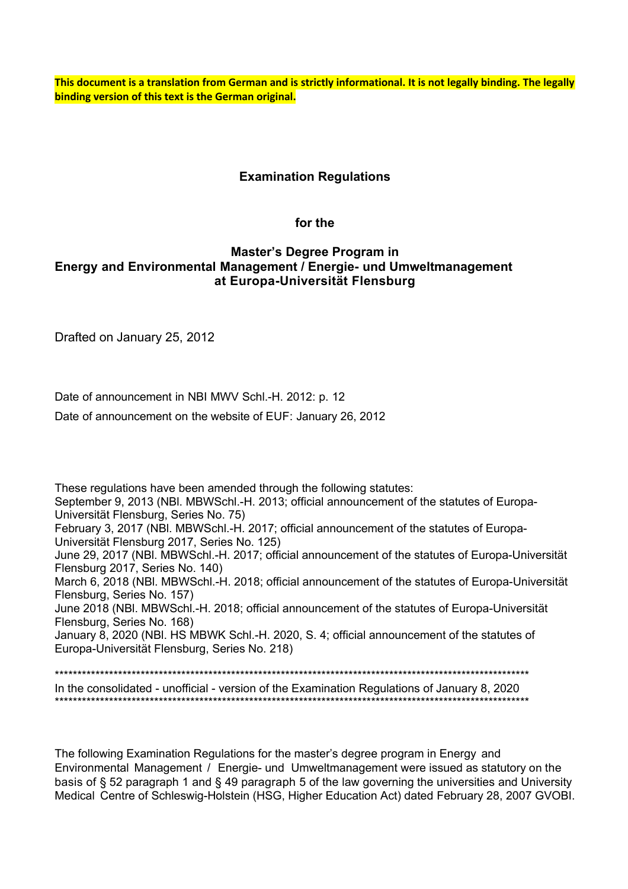**This document is a translation from German and is strictly informational. It is not legally binding. The legally binding version of this text is the German original.**

## **Examination Regulations**

#### **for the**

## **Master's Degree Program in Energy and Environmental Management / Energie- und Umweltmanagement at Europa-Universität Flensburg**

Drafted on January 25, 2012

Date of announcement in NBI MWV Schl.-H. 2012: p. 12

Date of announcement on the website of EUF: January 26, 2012

These regulations have been amended through the following statutes: September 9, 2013 (NBl. MBWSchl.-H. 2013; official announcement of the statutes of Europa-Universität Flensburg, Series No. 75) February 3, 2017 (NBl. MBWSchl.-H. 2017; official announcement of the statutes of Europa-Universität Flensburg 2017, Series No. 125) June 29, 2017 (NBl. MBWSchl.-H. 2017; official announcement of the statutes of Europa-Universität Flensburg 2017, Series No. 140) March 6, 2018 (NBl. MBWSchl.-H. 2018; official announcement of the statutes of Europa-Universität Flensburg, Series No. 157) June 2018 (NBl. MBWSchl.-H. 2018; official announcement of the statutes of Europa-Universität Flensburg, Series No. 168) January 8, 2020 (NBl. HS MBWK Schl.-H. 2020, S. 4; official announcement of the statutes of Europa-Universität Flensburg, Series No. 218) \*\*\*\*\*\*\*\*\*\*\*\*\*\*\*\*\*\*\*\*\*\*\*\*\*\*\*\*\*\*\*\*\*\*\*\*\*\*\*\*\*\*\*\*\*\*\*\*\*\*\*\*\*\*\*\*\*\*\*\*\*\*\*\*\*\*\*\*\*\*\*\*\*\*\*\*\*\*\*\*\*\*\*\*\*\*\*\*\*\*\*\*\*\*\*\*\*\*\*\*\*\*\*\*\*

In the consolidated - unofficial - version of the Examination Regulations of January 8, 2020 \*\*\*\*\*\*\*\*\*\*\*\*\*\*\*\*\*\*\*\*\*\*\*\*\*\*\*\*\*\*\*\*\*\*\*\*\*\*\*\*\*\*\*\*\*\*\*\*\*\*\*\*\*\*\*\*\*\*\*\*\*\*\*\*\*\*\*\*\*\*\*\*\*\*\*\*\*\*\*\*\*\*\*\*\*\*\*\*\*\*\*\*\*\*\*\*\*\*\*\*\*\*\*\*\*

The following Examination Regulations for the master's degree program in Energy and Environmental Management / Energie- und Umweltmanagement were issued as statutory on the basis of § 52 paragraph 1 and § 49 paragraph 5 of the law governing the universities and University Medical Centre of Schleswig-Holstein (HSG, Higher Education Act) dated February 28, 2007 GVOBI.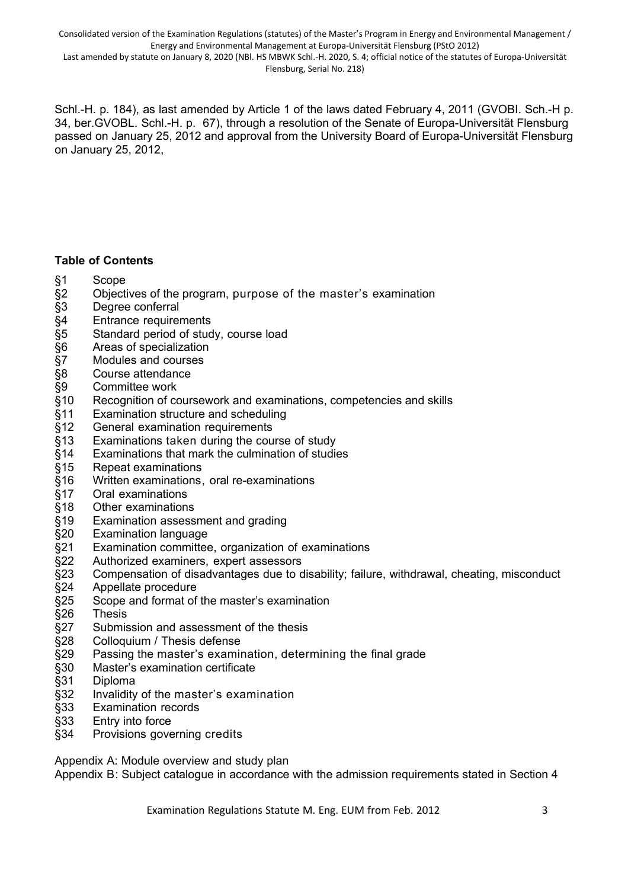Consolidated version of the Examination Regulations (statutes) of the Master's Program in Energy and Environmental Management / Energy and Environmental Management at Europa-Universität Flensburg (PStO 2012) Last amended by statute on January 8, 2020 (NBl. HS MBWK Schl.-H. 2020, S. 4; official notice of the statutes of Europa-Universität

Flensburg, Serial No. 218)

Schl.-H. p. 184), as last amended by Article 1 of the laws dated February 4, 2011 (GVOBI. Sch.-H p. 34, ber.GVOBL. Schl.-H. p. 67), through a resolution of the Senate of Europa-Universität Flensburg passed on January 25, 2012 and approval from the University Board of Europa-Universität Flensburg on January 25, 2012,

## **Table of Contents**

- §1 Scope
- §2 Objectives of the program, purpose of the master's examination
- §3 Degree conferral
- §4 Entrance requirements
- §5 Standard period of study, course load
- §6 Areas of specialization<br>§7 Modules and courses
- §7 Modules and courses
- §8 Course attendance
- §9 Committee work
- §10 Recognition of coursework and examinations, competencies and skills
- §11 Examination structure and scheduling
- §12 General examination requirements
- §13 Examinations taken during the course of study
- §14 Examinations that mark the culmination of studies
- §15 Repeat examinations
- §16 Written examinations, oral re-examinations
- §17 Oral examinations
- §18 Other examinations
- §19 Examination assessment and grading
- §20 Examination language
- §21 Examination committee, organization of examinations
- §22 Authorized examiners, expert assessors
- §23 Compensation of disadvantages due to disability; failure, withdrawal, cheating, misconduct
- §24 Appellate procedure
- §25 Scope and format of the master's examination
- §26 Thesis
- §27 Submission and assessment of the thesis
- §28 Colloquium / Thesis defense
- §29 Passing the master's examination, determining the final grade
- §30 Master's examination certificate
- §31 Diploma
- §32 Invalidity of the master's examination
- §33 Examination records
- §33 Entry into force
- §34 Provisions governing credits

Appendix A: Module overview and study plan

Appendix B: Subject catalogue in accordance with the admission requirements stated in Section 4

Examination Regulations Statute M. Eng. EUM from Feb. 2012 3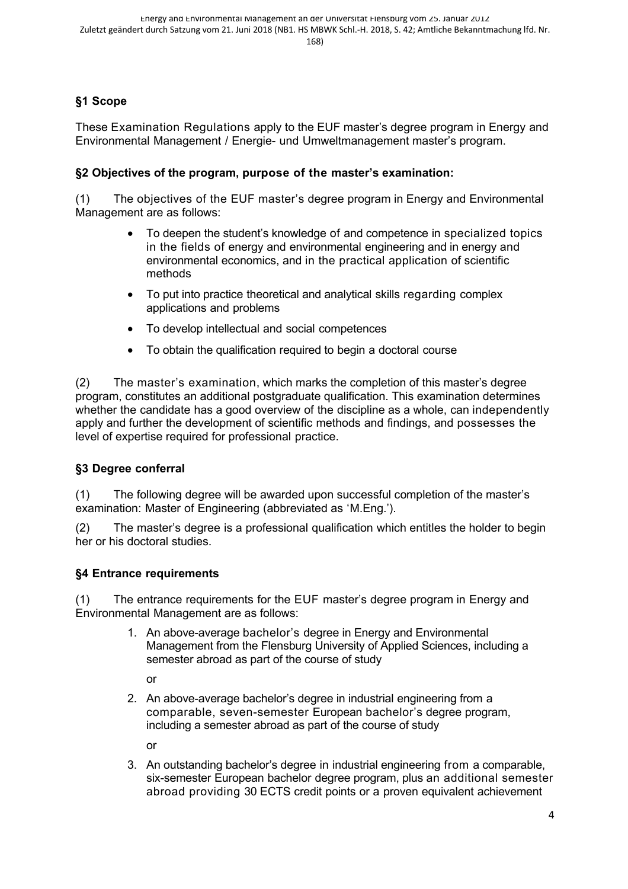# **§1 Scope**

These Examination Regulations apply to the EUF master's degree program in Energy and Environmental Management / Energie- und Umweltmanagement master's program.

## **§2 Objectives of the program, purpose of the master's examination:**

(1) The objectives of the EUF master's degree program in Energy and Environmental Management are as follows:

- To deepen the student's knowledge of and competence in specialized topics in the fields of energy and environmental engineering and in energy and environmental economics, and in the practical application of scientific methods
- To put into practice theoretical and analytical skills regarding complex applications and problems
- To develop intellectual and social competences
- To obtain the qualification required to begin a doctoral course

(2) The master's examination, which marks the completion of this master's degree program, constitutes an additional postgraduate qualification. This examination determines whether the candidate has a good overview of the discipline as a whole, can independently apply and further the development of scientific methods and findings, and possesses the level of expertise required for professional practice.

## **§3 Degree conferral**

(1) The following degree will be awarded upon successful completion of the master's examination: Master of Engineering (abbreviated as 'M.Eng.').

(2) The master's degree is a professional qualification which entitles the holder to begin her or his doctoral studies.

#### **§4 Entrance requirements**

(1) The entrance requirements for the EUF master's degree program in Energy and Environmental Management are as follows:

> 1. An above-average bachelor's degree in Energy and Environmental Management from the Flensburg University of Applied Sciences, including a semester abroad as part of the course of study

or

2. An above-average bachelor's degree in industrial engineering from a comparable, seven-semester European bachelor's degree program, including a semester abroad as part of the course of study

or

3. An outstanding bachelor's degree in industrial engineering from a comparable, six-semester European bachelor degree program, plus an additional semester abroad providing 30 ECTS credit points or a proven equivalent achievement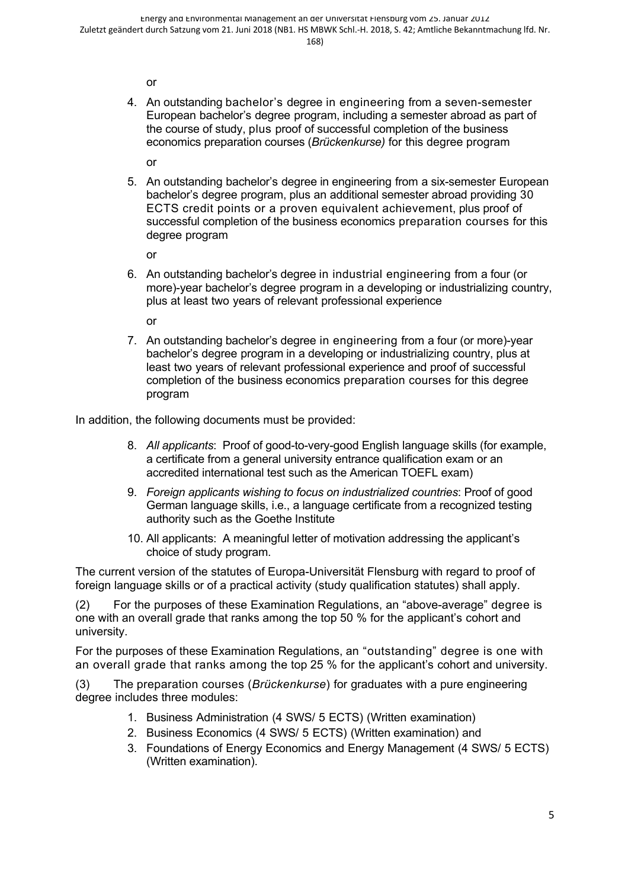or

4. An outstanding bachelor's degree in engineering from a seven-semester European bachelor's degree program, including a semester abroad as part of the course of study, plus proof of successful completion of the business economics preparation courses (*Brückenkurse)* for this degree program

or

5. An outstanding bachelor's degree in engineering from a six-semester European bachelor's degree program, plus an additional semester abroad providing 30 ECTS credit points or a proven equivalent achievement, plus proof of successful completion of the business economics preparation courses for this degree program

or

6. An outstanding bachelor's degree in industrial engineering from a four (or more)-year bachelor's degree program in a developing or industrializing country, plus at least two years of relevant professional experience

or

7. An outstanding bachelor's degree in engineering from a four (or more)-year bachelor's degree program in a developing or industrializing country, plus at least two years of relevant professional experience and proof of successful completion of the business economics preparation courses for this degree program

In addition, the following documents must be provided:

- 8. *All applicants*: Proof of good-to-very-good English language skills (for example, a certificate from a general university entrance qualification exam or an accredited international test such as the American TOEFL exam)
- 9. *Foreign applicants wishing to focus on industrialized countries*: Proof of good German language skills, i.e., a language certificate from a recognized testing authority such as the Goethe Institute
- 10. All applicants: A meaningful letter of motivation addressing the applicant's choice of study program.

The current version of the statutes of Europa-Universität Flensburg with regard to proof of foreign language skills or of a practical activity (study qualification statutes) shall apply.

(2) For the purposes of these Examination Regulations, an "above-average" degree is one with an overall grade that ranks among the top 50 % for the applicant's cohort and university.

For the purposes of these Examination Regulations, an "outstanding" degree is one with an overall grade that ranks among the top 25 % for the applicant's cohort and university.

(3) The preparation courses (*Brückenkurse*) for graduates with a pure engineering degree includes three modules:

- 1. Business Administration (4 SWS/ 5 ECTS) (Written examination)
- 2. Business Economics (4 SWS/ 5 ECTS) (Written examination) and
- 3. Foundations of Energy Economics and Energy Management (4 SWS/ 5 ECTS) (Written examination).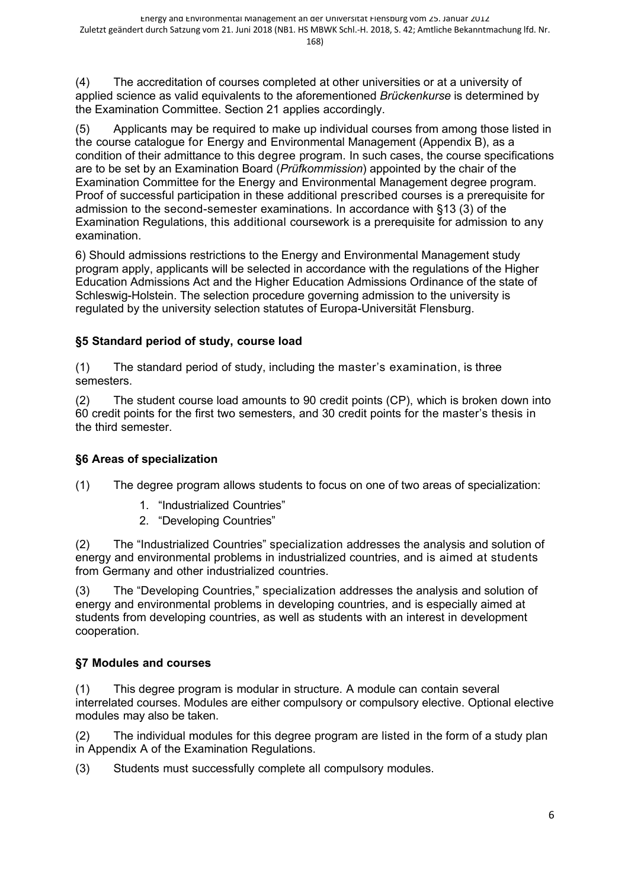(4) The accreditation of courses completed at other universities or at a university of applied science as valid equivalents to the aforementioned *Brückenkurse* is determined by the Examination Committee. Section 21 applies accordingly.

(5) Applicants may be required to make up individual courses from among those listed in the course catalogue for Energy and Environmental Management (Appendix B), as a condition of their admittance to this degree program. In such cases, the course specifications are to be set by an Examination Board (*Prüfkommission*) appointed by the chair of the Examination Committee for the Energy and Environmental Management degree program. Proof of successful participation in these additional prescribed courses is a prerequisite for admission to the second-semester examinations. In accordance with §13 (3) of the Examination Regulations, this additional coursework is a prerequisite for admission to any examination.

6) Should admissions restrictions to the Energy and Environmental Management study program apply, applicants will be selected in accordance with the regulations of the Higher Education Admissions Act and the Higher Education Admissions Ordinance of the state of Schleswig-Holstein. The selection procedure governing admission to the university is regulated by the university selection statutes of Europa-Universität Flensburg.

# **§5 Standard period of study, course load**

(1) The standard period of study, including the master's examination, is three semesters.

(2) The student course load amounts to 90 credit points (CP), which is broken down into 60 credit points for the first two semesters, and 30 credit points for the master's thesis in the third semester.

## **§6 Areas of specialization**

(1) The degree program allows students to focus on one of two areas of specialization:

- 1. "Industrialized Countries"
- 2. "Developing Countries"

(2) The "Industrialized Countries" specialization addresses the analysis and solution of energy and environmental problems in industrialized countries, and is aimed at students from Germany and other industrialized countries.

(3) The "Developing Countries," specialization addresses the analysis and solution of energy and environmental problems in developing countries, and is especially aimed at students from developing countries, as well as students with an interest in development cooperation.

## **§7 Modules and courses**

(1) This degree program is modular in structure. A module can contain several interrelated courses. Modules are either compulsory or compulsory elective. Optional elective modules may also be taken.

(2) The individual modules for this degree program are listed in the form of a study plan in Appendix A of the Examination Regulations.

(3) Students must successfully complete all compulsory modules.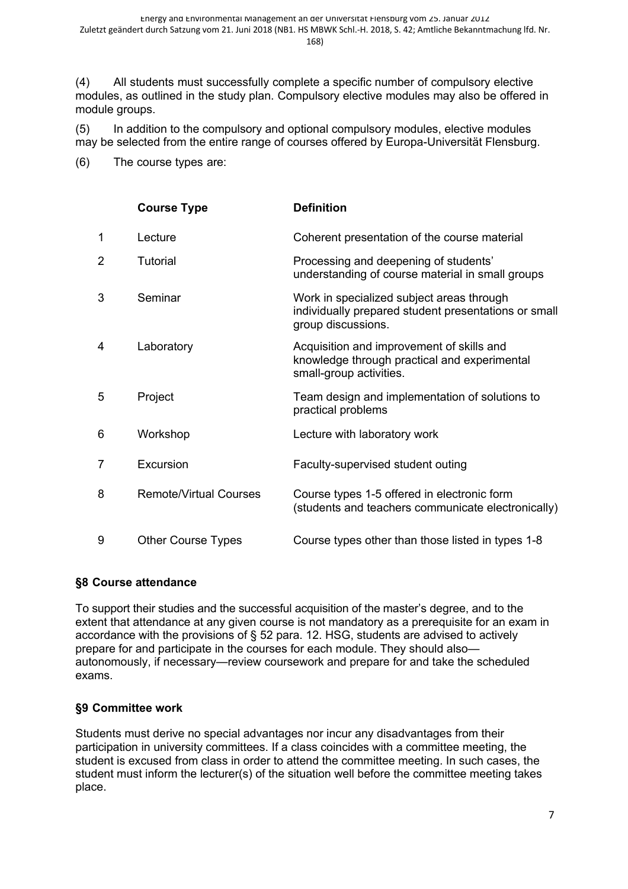(4) All students must successfully complete a specific number of compulsory elective modules, as outlined in the study plan. Compulsory elective modules may also be offered in module groups.

(5) In addition to the compulsory and optional compulsory modules, elective modules may be selected from the entire range of courses offered by Europa-Universität Flensburg.

(6) The course types are:

|                | <b>Course Type</b>            | <b>Definition</b>                                                                                                       |
|----------------|-------------------------------|-------------------------------------------------------------------------------------------------------------------------|
| 1              | Lecture                       | Coherent presentation of the course material                                                                            |
| $\overline{2}$ | Tutorial                      | Processing and deepening of students'<br>understanding of course material in small groups                               |
| 3              | Seminar                       | Work in specialized subject areas through<br>individually prepared student presentations or small<br>group discussions. |
| 4              | Laboratory                    | Acquisition and improvement of skills and<br>knowledge through practical and experimental<br>small-group activities.    |
| 5              | Project                       | Team design and implementation of solutions to<br>practical problems                                                    |
| 6              | Workshop                      | Lecture with laboratory work                                                                                            |
| $\overline{7}$ | Excursion                     | Faculty-supervised student outing                                                                                       |
| 8              | <b>Remote/Virtual Courses</b> | Course types 1-5 offered in electronic form<br>(students and teachers communicate electronically)                       |
| 9              | <b>Other Course Types</b>     | Course types other than those listed in types 1-8                                                                       |

## **§8 Course attendance**

To support their studies and the successful acquisition of the master's degree, and to the extent that attendance at any given course is not mandatory as a prerequisite for an exam in accordance with the provisions of § 52 para. 12. HSG, students are advised to actively prepare for and participate in the courses for each module. They should also autonomously, if necessary—review coursework and prepare for and take the scheduled exams.

## **§9 Committee work**

Students must derive no special advantages nor incur any disadvantages from their participation in university committees. If a class coincides with a committee meeting, the student is excused from class in order to attend the committee meeting. In such cases, the student must inform the lecturer(s) of the situation well before the committee meeting takes place.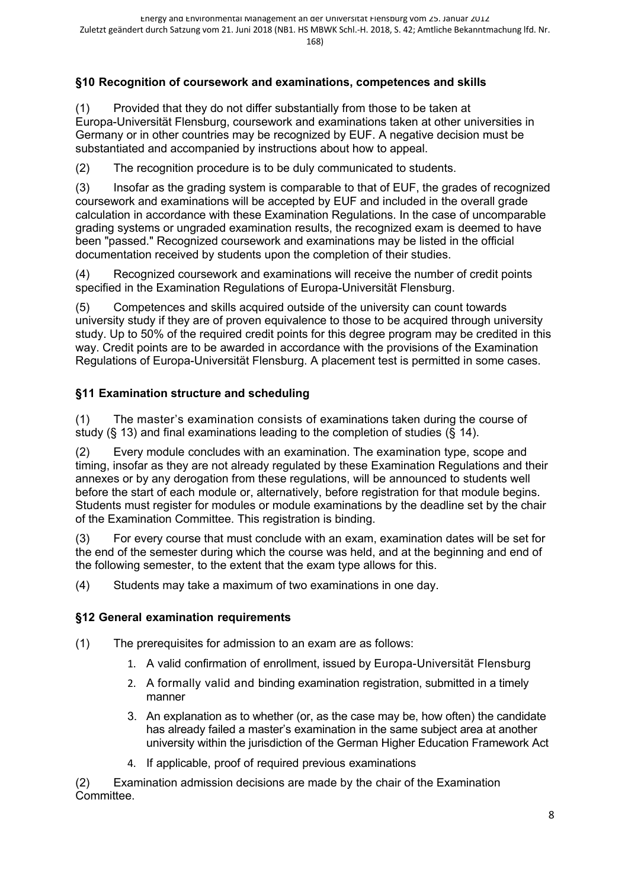# **§10 Recognition of coursework and examinations, competences and skills**

(1) Provided that they do not differ substantially from those to be taken at Europa-Universität Flensburg, coursework and examinations taken at other universities in Germany or in other countries may be recognized by EUF. A negative decision must be substantiated and accompanied by instructions about how to appeal.

(2) The recognition procedure is to be duly communicated to students.

(3) Insofar as the grading system is comparable to that of EUF, the grades of recognized coursework and examinations will be accepted by EUF and included in the overall grade calculation in accordance with these Examination Regulations. In the case of uncomparable grading systems or ungraded examination results, the recognized exam is deemed to have been "passed." Recognized coursework and examinations may be listed in the official documentation received by students upon the completion of their studies.

(4) Recognized coursework and examinations will receive the number of credit points specified in the Examination Regulations of Europa-Universität Flensburg.

(5) Competences and skills acquired outside of the university can count towards university study if they are of proven equivalence to those to be acquired through university study. Up to 50% of the required credit points for this degree program may be credited in this way. Credit points are to be awarded in accordance with the provisions of the Examination Regulations of Europa-Universität Flensburg. A placement test is permitted in some cases.

#### **§11 Examination structure and scheduling**

(1) The master's examination consists of examinations taken during the course of study (§ 13) and final examinations leading to the completion of studies (§ 14).

(2) Every module concludes with an examination. The examination type, scope and timing, insofar as they are not already regulated by these Examination Regulations and their annexes or by any derogation from these regulations, will be announced to students well before the start of each module or, alternatively, before registration for that module begins. Students must register for modules or module examinations by the deadline set by the chair of the Examination Committee. This registration is binding.

(3) For every course that must conclude with an exam, examination dates will be set for the end of the semester during which the course was held, and at the beginning and end of the following semester, to the extent that the exam type allows for this.

(4) Students may take a maximum of two examinations in one day.

## **§12 General examination requirements**

(1) The prerequisites for admission to an exam are as follows:

- 1. A valid confirmation of enrollment, issued by Europa-Universität Flensburg
- 2. A formally valid and binding examination registration, submitted in a timely manner
- 3. An explanation as to whether (or, as the case may be, how often) the candidate has already failed a master's examination in the same subject area at another university within the jurisdiction of the German Higher Education Framework Act
- 4. If applicable, proof of required previous examinations

(2) Examination admission decisions are made by the chair of the Examination Committee.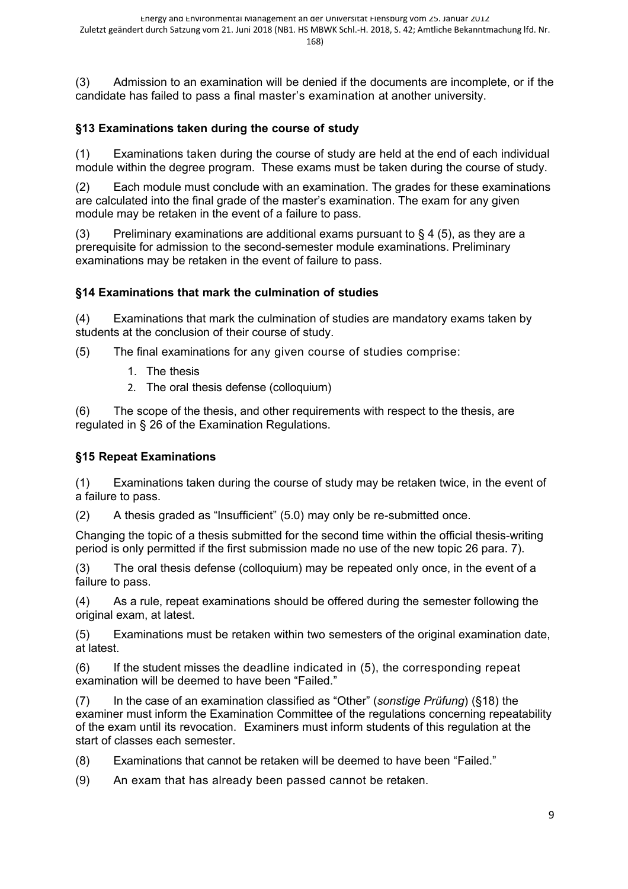(3) Admission to an examination will be denied if the documents are incomplete, or if the candidate has failed to pass a final master's examination at another university.

# **§13 Examinations taken during the course of study**

(1) Examinations taken during the course of study are held at the end of each individual module within the degree program. These exams must be taken during the course of study.

(2) Each module must conclude with an examination. The grades for these examinations are calculated into the final grade of the master's examination. The exam for any given module may be retaken in the event of a failure to pass.

(3) Preliminary examinations are additional exams pursuant to  $\S 4$  (5), as they are a prerequisite for admission to the second-semester module examinations. Preliminary examinations may be retaken in the event of failure to pass.

# **§14 Examinations that mark the culmination of studies**

(4) Examinations that mark the culmination of studies are mandatory exams taken by students at the conclusion of their course of study.

(5) The final examinations for any given course of studies comprise:

- 1. The thesis
- 2. The oral thesis defense (colloquium)

(6) The scope of the thesis, and other requirements with respect to the thesis, are regulated in § 26 of the Examination Regulations.

# **§15 Repeat Examinations**

(1) Examinations taken during the course of study may be retaken twice, in the event of a failure to pass.

(2) A thesis graded as "Insufficient" (5.0) may only be re-submitted once.

Changing the topic of a thesis submitted for the second time within the official thesis-writing period is only permitted if the first submission made no use of the new topic 26 para. 7).

(3) The oral thesis defense (colloquium) may be repeated only once, in the event of a failure to pass.

(4) As a rule, repeat examinations should be offered during the semester following the original exam, at latest.

(5) Examinations must be retaken within two semesters of the original examination date, at latest.

(6) If the student misses the deadline indicated in (5), the corresponding repeat examination will be deemed to have been "Failed."

(7) In the case of an examination classified as "Other" (*sonstige Prüfung*) (§18) the examiner must inform the Examination Committee of the regulations concerning repeatability of the exam until its revocation. Examiners must inform students of this regulation at the start of classes each semester.

(8) Examinations that cannot be retaken will be deemed to have been "Failed."

(9) An exam that has already been passed cannot be retaken.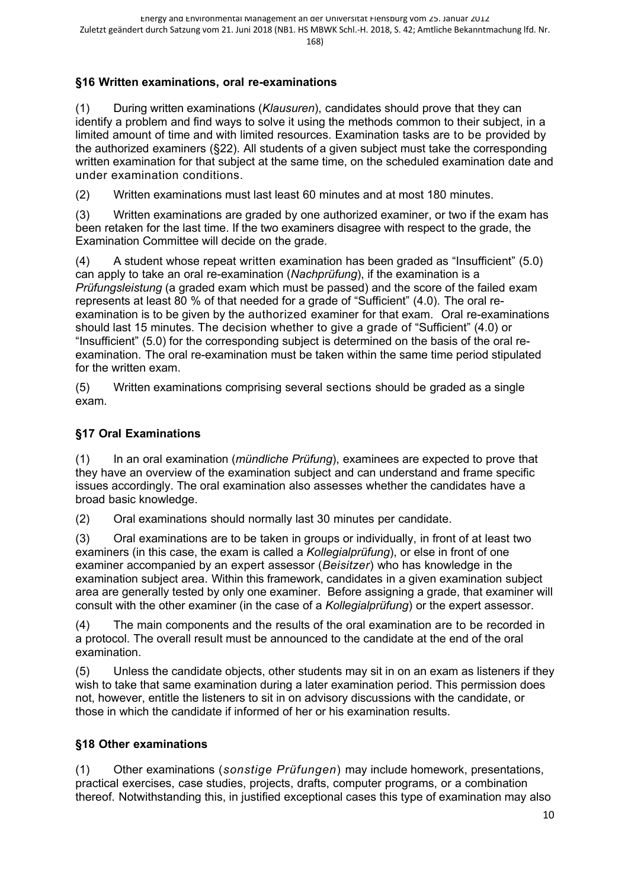# **§16 Written examinations, oral re-examinations**

(1) During written examinations (*Klausuren*), candidates should prove that they can identify a problem and find ways to solve it using the methods common to their subject, in a limited amount of time and with limited resources. Examination tasks are to be provided by the authorized examiners (§22). All students of a given subject must take the corresponding written examination for that subject at the same time, on the scheduled examination date and under examination conditions.

(2) Written examinations must last least 60 minutes and at most 180 minutes.

(3) Written examinations are graded by one authorized examiner, or two if the exam has been retaken for the last time. If the two examiners disagree with respect to the grade, the Examination Committee will decide on the grade.

(4) A student whose repeat written examination has been graded as "Insufficient" (5.0) can apply to take an oral re-examination (*Nachprüfung*), if the examination is a *Prüfungsleistung* (a graded exam which must be passed) and the score of the failed exam represents at least 80 % of that needed for a grade of "Sufficient" (4.0). The oral reexamination is to be given by the authorized examiner for that exam. Oral re-examinations should last 15 minutes. The decision whether to give a grade of "Sufficient" (4.0) or "Insufficient" (5.0) for the corresponding subject is determined on the basis of the oral reexamination. The oral re-examination must be taken within the same time period stipulated for the written exam.

(5) Written examinations comprising several sections should be graded as a single exam.

## **§17 Oral Examinations**

(1) In an oral examination (*mündliche Prüfung*), examinees are expected to prove that they have an overview of the examination subject and can understand and frame specific issues accordingly. The oral examination also assesses whether the candidates have a broad basic knowledge.

(2) Oral examinations should normally last 30 minutes per candidate.

(3) Oral examinations are to be taken in groups or individually, in front of at least two examiners (in this case, the exam is called a *Kollegialprüfung*), or else in front of one examiner accompanied by an expert assessor (*Beisitzer*) who has knowledge in the examination subject area. Within this framework, candidates in a given examination subject area are generally tested by only one examiner. Before assigning a grade, that examiner will consult with the other examiner (in the case of a *Kollegialprüfung*) or the expert assessor.

(4) The main components and the results of the oral examination are to be recorded in a protocol. The overall result must be announced to the candidate at the end of the oral examination.

(5) Unless the candidate objects, other students may sit in on an exam as listeners if they wish to take that same examination during a later examination period. This permission does not, however, entitle the listeners to sit in on advisory discussions with the candidate, or those in which the candidate if informed of her or his examination results.

## **§18 Other examinations**

(1) Other examinations (*sonstige Prüfungen*) may include homework, presentations, practical exercises, case studies, projects, drafts, computer programs, or a combination thereof. Notwithstanding this, in justified exceptional cases this type of examination may also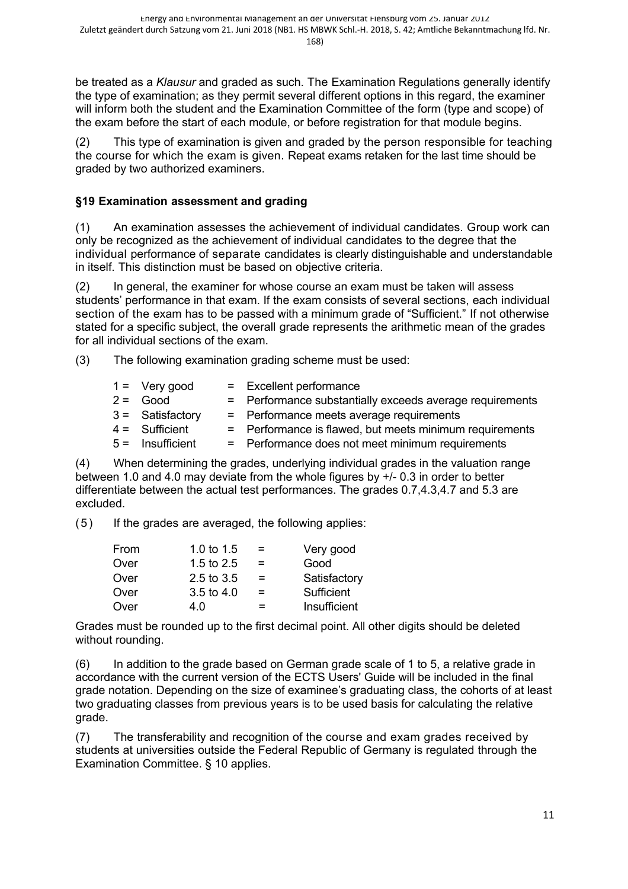be treated as a *Klausur* and graded as such. The Examination Regulations generally identify the type of examination; as they permit several different options in this regard, the examiner will inform both the student and the Examination Committee of the form (type and scope) of the exam before the start of each module, or before registration for that module begins.

(2) This type of examination is given and graded by the person responsible for teaching the course for which the exam is given. Repeat exams retaken for the last time should be graded by two authorized examiners.

# **§19 Examination assessment and grading**

(1) An examination assesses the achievement of individual candidates. Group work can only be recognized as the achievement of individual candidates to the degree that the individual performance of separate candidates is clearly distinguishable and understandable in itself. This distinction must be based on objective criteria.

(2) In general, the examiner for whose course an exam must be taken will assess students' performance in that exam. If the exam consists of several sections, each individual section of the exam has to be passed with a minimum grade of "Sufficient." If not otherwise stated for a specific subject, the overall grade represents the arithmetic mean of the grades for all individual sections of the exam.

(3) The following examination grading scheme must be used:

|                                                                                                      | = Excellent performance                                  |
|------------------------------------------------------------------------------------------------------|----------------------------------------------------------|
|                                                                                                      | = Performance substantially exceeds average requirements |
|                                                                                                      | = Performance meets average requirements                 |
|                                                                                                      | = Performance is flawed, but meets minimum requirements  |
|                                                                                                      | = Performance does not meet minimum requirements         |
| $1 = \text{Very good}$<br>$2 =$ Good<br>$3 =$ Satisfactory<br>$4 =$ Sufficient<br>$5 =$ Insufficient |                                                          |

(4) When determining the grades, underlying individual grades in the valuation range between 1.0 and 4.0 may deviate from the whole figures by +/- 0.3 in order to better differentiate between the actual test performances. The grades 0.7,4.3,4.7 and 5.3 are excluded.

(5) If the grades are averaged, the following applies:

| From | 1.0 to $1.5$          | $=$ | Very good    |
|------|-----------------------|-----|--------------|
| Over | 1.5 to $2.5$          | $=$ | Good         |
| Over | $2.5 \text{ to } 3.5$ | $=$ | Satisfactory |
| Over | 3.5 to 4.0            | $=$ | Sufficient   |
| Over | 4 በ                   | $=$ | Insufficient |

Grades must be rounded up to the first decimal point. All other digits should be deleted without rounding.

(6) In addition to the grade based on German grade scale of 1 to 5, a relative grade in accordance with the current version of the ECTS Users' Guide will be included in the final grade notation. Depending on the size of examinee's graduating class, the cohorts of at least two graduating classes from previous years is to be used basis for calculating the relative grade.

(7) The transferability and recognition of the course and exam grades received by students at universities outside the Federal Republic of Germany is regulated through the Examination Committee. § 10 applies.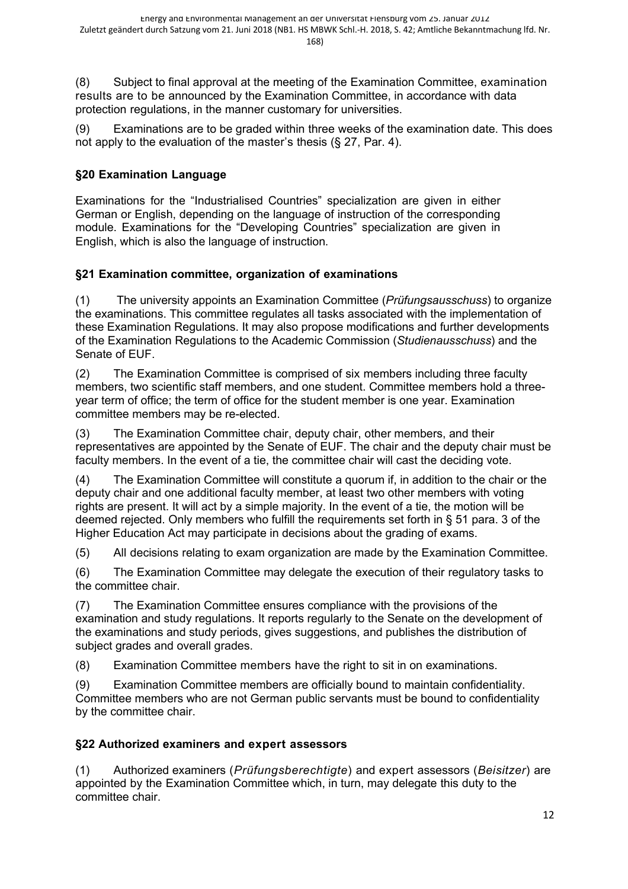(8) Subject to final approval at the meeting of the Examination Committee, examination results are to be announced by the Examination Committee, in accordance with data protection regulations, in the manner customary for universities.

(9) Examinations are to be graded within three weeks of the examination date. This does not apply to the evaluation of the master's thesis (§ 27, Par. 4).

# **§20 Examination Language**

Examinations for the "Industrialised Countries" specialization are given in either German or English, depending on the language of instruction of the corresponding module. Examinations for the "Developing Countries" specialization are given in English, which is also the language of instruction.

# **§21 Examination committee, organization of examinations**

(1) The university appoints an Examination Committee (*Prüfungsausschuss*) to organize the examinations. This committee regulates all tasks associated with the implementation of these Examination Regulations. It may also propose modifications and further developments of the Examination Regulations to the Academic Commission (*Studienausschuss*) and the Senate of EUF.

(2) The Examination Committee is comprised of six members including three faculty members, two scientific staff members, and one student. Committee members hold a threeyear term of office; the term of office for the student member is one year. Examination committee members may be re-elected.

(3) The Examination Committee chair, deputy chair, other members, and their representatives are appointed by the Senate of EUF. The chair and the deputy chair must be faculty members. In the event of a tie, the committee chair will cast the deciding vote.

(4) The Examination Committee will constitute a quorum if, in addition to the chair or the deputy chair and one additional faculty member, at least two other members with voting rights are present. It will act by a simple majority. In the event of a tie, the motion will be deemed rejected. Only members who fulfill the requirements set forth in § 51 para. 3 of the Higher Education Act may participate in decisions about the grading of exams.

(5) All decisions relating to exam organization are made by the Examination Committee.

(6) The Examination Committee may delegate the execution of their regulatory tasks to the committee chair.

(7) The Examination Committee ensures compliance with the provisions of the examination and study regulations. It reports regularly to the Senate on the development of the examinations and study periods, gives suggestions, and publishes the distribution of subject grades and overall grades.

(8) Examination Committee members have the right to sit in on examinations.

(9) Examination Committee members are officially bound to maintain confidentiality. Committee members who are not German public servants must be bound to confidentiality by the committee chair.

## **§22 Authorized examiners and expert assessors**

(1) Authorized examiners (*Prüfungsberechtigte*) and expert assessors (*Beisitzer*) are appointed by the Examination Committee which, in turn, may delegate this duty to the committee chair.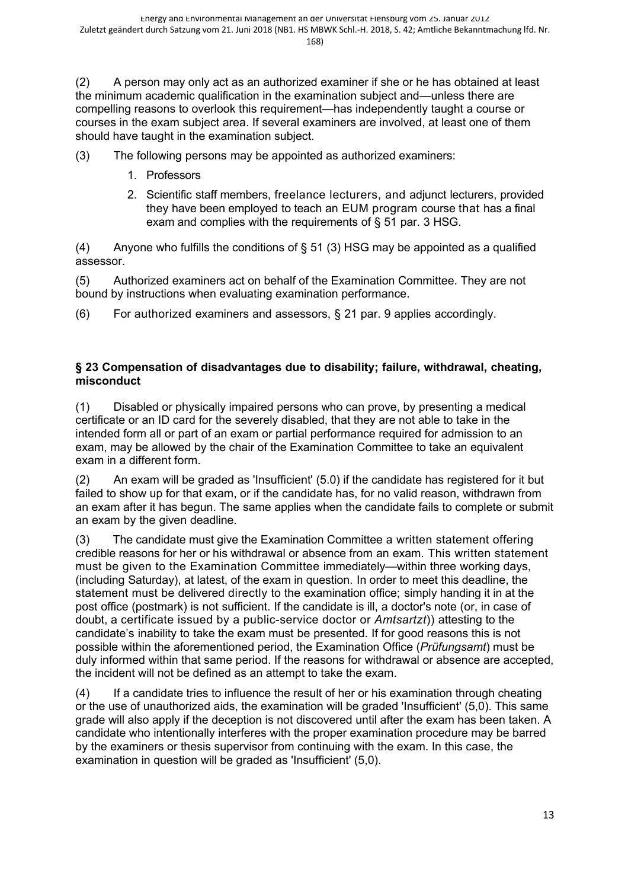(2) A person may only act as an authorized examiner if she or he has obtained at least the minimum academic qualification in the examination subject and—unless there are compelling reasons to overlook this requirement—has independently taught a course or courses in the exam subject area. If several examiners are involved, at least one of them should have taught in the examination subject.

(3) The following persons may be appointed as authorized examiners:

- 1. Professors
- 2. Scientific staff members, freelance lecturers, and adjunct lecturers, provided they have been employed to teach an EUM program course that has a final exam and complies with the requirements of § 51 par. 3 HSG.

(4) Anyone who fulfills the conditions of  $\S$  51 (3) HSG may be appointed as a qualified assessor.

(5) Authorized examiners act on behalf of the Examination Committee. They are not bound by instructions when evaluating examination performance.

(6) For authorized examiners and assessors, § 21 par. 9 applies accordingly.

#### **§ 23 Compensation of disadvantages due to disability; failure, withdrawal, cheating, misconduct**

(1) Disabled or physically impaired persons who can prove, by presenting a medical certificate or an ID card for the severely disabled, that they are not able to take in the intended form all or part of an exam or partial performance required for admission to an exam, may be allowed by the chair of the Examination Committee to take an equivalent exam in a different form.

(2) An exam will be graded as 'Insufficient' (5.0) if the candidate has registered for it but failed to show up for that exam, or if the candidate has, for no valid reason, withdrawn from an exam after it has begun. The same applies when the candidate fails to complete or submit an exam by the given deadline.

(3) The candidate must give the Examination Committee a written statement offering credible reasons for her or his withdrawal or absence from an exam. This written statement must be given to the Examination Committee immediately—within three working days, (including Saturday), at latest, of the exam in question. In order to meet this deadline, the statement must be delivered directly to the examination office; simply handing it in at the post office (postmark) is not sufficient. If the candidate is ill, a doctor's note (or, in case of doubt, a certificate issued by a public-service doctor or *Amtsartzt*)) attesting to the candidate's inability to take the exam must be presented. If for good reasons this is not possible within the aforementioned period, the Examination Office (*Prüfungsamt*) must be duly informed within that same period. If the reasons for withdrawal or absence are accepted, the incident will not be defined as an attempt to take the exam.

(4) If a candidate tries to influence the result of her or his examination through cheating or the use of unauthorized aids, the examination will be graded 'Insufficient' (5,0). This same grade will also apply if the deception is not discovered until after the exam has been taken. A candidate who intentionally interferes with the proper examination procedure may be barred by the examiners or thesis supervisor from continuing with the exam. In this case, the examination in question will be graded as 'Insufficient' (5,0).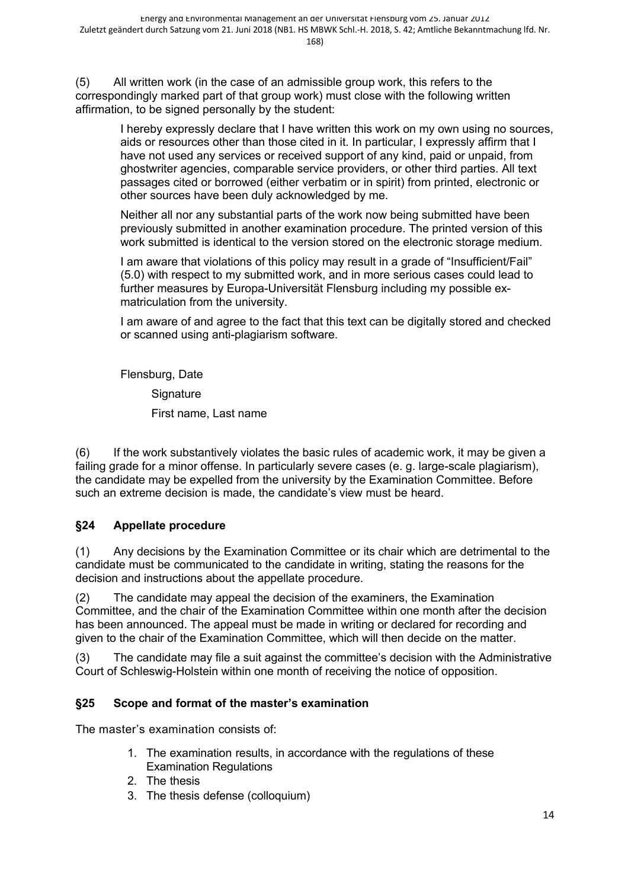(5) All written work (in the case of an admissible group work, this refers to the correspondingly marked part of that group work) must close with the following written affirmation, to be signed personally by the student:

> I hereby expressly declare that I have written this work on my own using no sources, aids or resources other than those cited in it. In particular, I expressly affirm that I have not used any services or received support of any kind, paid or unpaid, from ghostwriter agencies, comparable service providers, or other third parties. All text passages cited or borrowed (either verbatim or in spirit) from printed, electronic or other sources have been duly acknowledged by me.

Neither all nor any substantial parts of the work now being submitted have been previously submitted in another examination procedure. The printed version of this work submitted is identical to the version stored on the electronic storage medium.

I am aware that violations of this policy may result in a grade of "Insufficient/Fail" (5.0) with respect to my submitted work, and in more serious cases could lead to further measures by Europa-Universität Flensburg including my possible exmatriculation from the university.

I am aware of and agree to the fact that this text can be digitally stored and checked or scanned using anti-plagiarism software.

Flensburg, Date **Signature** First name, Last name

(6) If the work substantively violates the basic rules of academic work, it may be given a failing grade for a minor offense. In particularly severe cases (e. g. large-scale plagiarism), the candidate may be expelled from the university by the Examination Committee. Before such an extreme decision is made, the candidate's view must be heard.

# **§24 Appellate procedure**

(1) Any decisions by the Examination Committee or its chair which are detrimental to the candidate must be communicated to the candidate in writing, stating the reasons for the decision and instructions about the appellate procedure.

(2) The candidate may appeal the decision of the examiners, the Examination Committee, and the chair of the Examination Committee within one month after the decision has been announced. The appeal must be made in writing or declared for recording and given to the chair of the Examination Committee, which will then decide on the matter.

(3) The candidate may file a suit against the committee's decision with the Administrative Court of Schleswig-Holstein within one month of receiving the notice of opposition.

## **§25 Scope and format of the master's examination**

The master's examination consists of:

- 1. The examination results, in accordance with the regulations of these Examination Regulations
- 2. The thesis
- 3. The thesis defense (colloquium)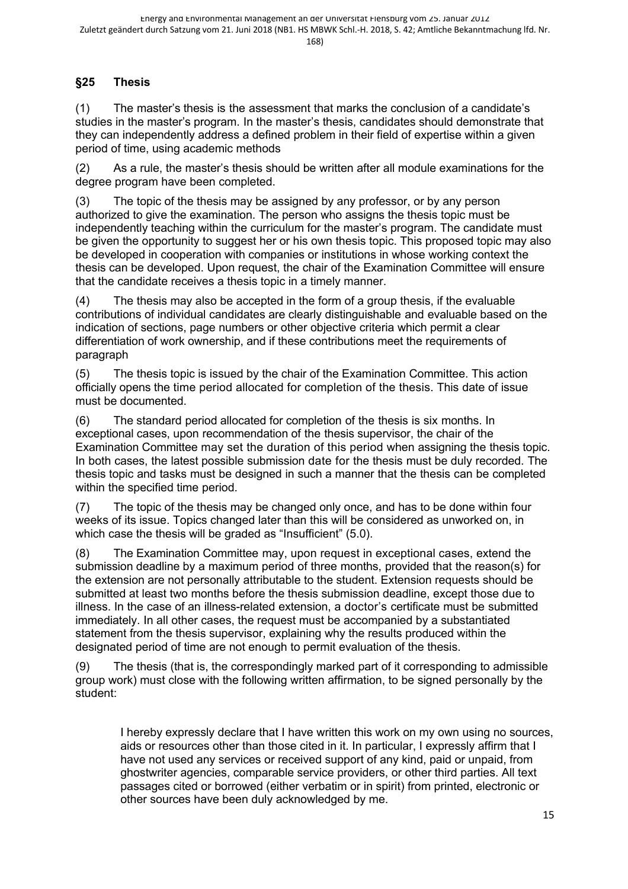# **§25 Thesis**

(1) The master's thesis is the assessment that marks the conclusion of a candidate's studies in the master's program. In the master's thesis, candidates should demonstrate that they can independently address a defined problem in their field of expertise within a given period of time, using academic methods

(2) As a rule, the master's thesis should be written after all module examinations for the degree program have been completed.

(3) The topic of the thesis may be assigned by any professor, or by any person authorized to give the examination. The person who assigns the thesis topic must be independently teaching within the curriculum for the master's program. The candidate must be given the opportunity to suggest her or his own thesis topic. This proposed topic may also be developed in cooperation with companies or institutions in whose working context the thesis can be developed. Upon request, the chair of the Examination Committee will ensure that the candidate receives a thesis topic in a timely manner.

(4) The thesis may also be accepted in the form of a group thesis, if the evaluable contributions of individual candidates are clearly distinguishable and evaluable based on the indication of sections, page numbers or other objective criteria which permit a clear differentiation of work ownership, and if these contributions meet the requirements of paragraph

(5) The thesis topic is issued by the chair of the Examination Committee. This action officially opens the time period allocated for completion of the thesis. This date of issue must be documented.

(6) The standard period allocated for completion of the thesis is six months. In exceptional cases, upon recommendation of the thesis supervisor, the chair of the Examination Committee may set the duration of this period when assigning the thesis topic. In both cases, the latest possible submission date for the thesis must be duly recorded. The thesis topic and tasks must be designed in such a manner that the thesis can be completed within the specified time period.

(7) The topic of the thesis may be changed only once, and has to be done within four weeks of its issue. Topics changed later than this will be considered as unworked on, in which case the thesis will be graded as "Insufficient" (5.0).

(8) The Examination Committee may, upon request in exceptional cases, extend the submission deadline by a maximum period of three months, provided that the reason(s) for the extension are not personally attributable to the student. Extension requests should be submitted at least two months before the thesis submission deadline, except those due to illness. In the case of an illness-related extension, a doctor's certificate must be submitted immediately. In all other cases, the request must be accompanied by a substantiated statement from the thesis supervisor, explaining why the results produced within the designated period of time are not enough to permit evaluation of the thesis.

(9) The thesis (that is, the correspondingly marked part of it corresponding to admissible group work) must close with the following written affirmation, to be signed personally by the student:

I hereby expressly declare that I have written this work on my own using no sources, aids or resources other than those cited in it. In particular, I expressly affirm that I have not used any services or received support of any kind, paid or unpaid, from ghostwriter agencies, comparable service providers, or other third parties. All text passages cited or borrowed (either verbatim or in spirit) from printed, electronic or other sources have been duly acknowledged by me.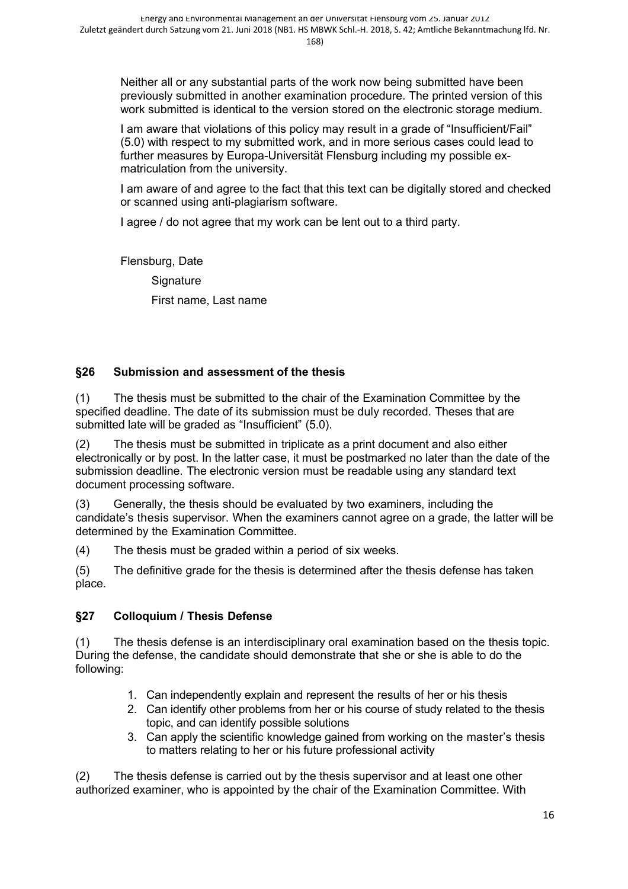Neither all or any substantial parts of the work now being submitted have been previously submitted in another examination procedure. The printed version of this work submitted is identical to the version stored on the electronic storage medium.

I am aware that violations of this policy may result in a grade of "Insufficient/Fail" (5.0) with respect to my submitted work, and in more serious cases could lead to further measures by Europa-Universität Flensburg including my possible exmatriculation from the university.

I am aware of and agree to the fact that this text can be digitally stored and checked or scanned using anti-plagiarism software.

I agree / do not agree that my work can be lent out to a third party.

Flensburg, Date **Signature** First name, Last name

## **§26 Submission and assessment of the thesis**

(1) The thesis must be submitted to the chair of the Examination Committee by the specified deadline. The date of its submission must be duly recorded. Theses that are submitted late will be graded as "Insufficient" (5.0).

(2) The thesis must be submitted in triplicate as a print document and also either electronically or by post. In the latter case, it must be postmarked no later than the date of the submission deadline. The electronic version must be readable using any standard text document processing software.

(3) Generally, the thesis should be evaluated by two examiners, including the candidate's thesis supervisor. When the examiners cannot agree on a grade, the latter will be determined by the Examination Committee.

(4) The thesis must be graded within a period of six weeks.

(5) The definitive grade for the thesis is determined after the thesis defense has taken place.

## **§27 Colloquium / Thesis Defense**

(1) The thesis defense is an interdisciplinary oral examination based on the thesis topic. During the defense, the candidate should demonstrate that she or she is able to do the following:

- 1. Can independently explain and represent the results of her or his thesis
- 2. Can identify other problems from her or his course of study related to the thesis topic, and can identify possible solutions
- 3. Can apply the scientific knowledge gained from working on the master's thesis to matters relating to her or his future professional activity

(2) The thesis defense is carried out by the thesis supervisor and at least one other authorized examiner, who is appointed by the chair of the Examination Committee. With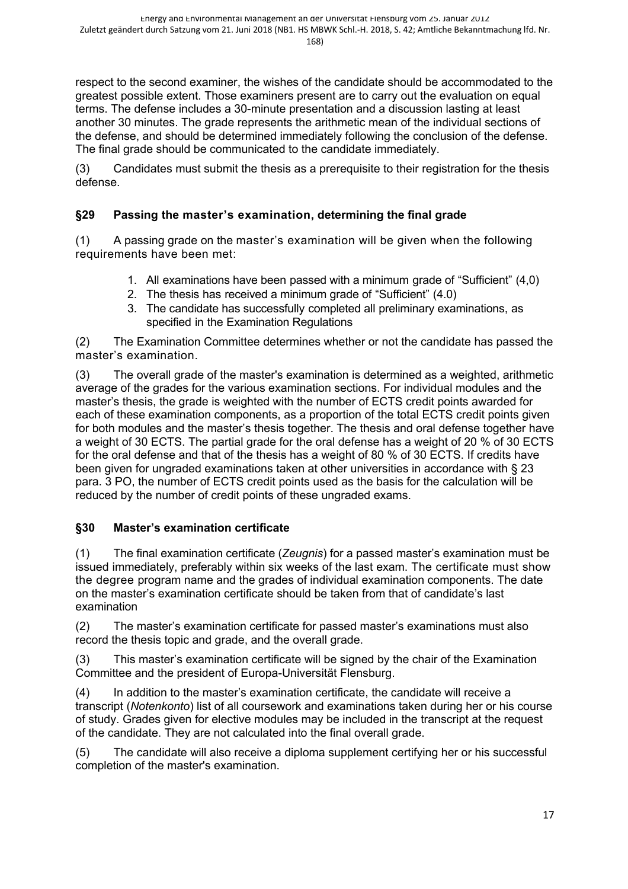respect to the second examiner, the wishes of the candidate should be accommodated to the greatest possible extent. Those examiners present are to carry out the evaluation on equal terms. The defense includes a 30-minute presentation and a discussion lasting at least another 30 minutes. The grade represents the arithmetic mean of the individual sections of the defense, and should be determined immediately following the conclusion of the defense. The final grade should be communicated to the candidate immediately.

(3) Candidates must submit the thesis as a prerequisite to their registration for the thesis defense.

# **§29 Passing the master's examination, determining the final grade**

(1) A passing grade on the master's examination will be given when the following requirements have been met:

- 1. All examinations have been passed with a minimum grade of "Sufficient" (4,0)
- 2. The thesis has received a minimum grade of "Sufficient" (4.0)
- 3. The candidate has successfully completed all preliminary examinations, as specified in the Examination Regulations

(2) The Examination Committee determines whether or not the candidate has passed the master's examination.

(3) The overall grade of the master's examination is determined as a weighted, arithmetic average of the grades for the various examination sections. For individual modules and the master's thesis, the grade is weighted with the number of ECTS credit points awarded for each of these examination components, as a proportion of the total ECTS credit points given for both modules and the master's thesis together. The thesis and oral defense together have a weight of 30 ECTS. The partial grade for the oral defense has a weight of 20 % of 30 ECTS for the oral defense and that of the thesis has a weight of 80 % of 30 ECTS. If credits have been given for ungraded examinations taken at other universities in accordance with § 23 para. 3 PO, the number of ECTS credit points used as the basis for the calculation will be reduced by the number of credit points of these ungraded exams.

## **§30 Master's examination certificate**

(1) The final examination certificate (*Zeugnis*) for a passed master's examination must be issued immediately, preferably within six weeks of the last exam. The certificate must show the degree program name and the grades of individual examination components. The date on the master's examination certificate should be taken from that of candidate's last examination

(2) The master's examination certificate for passed master's examinations must also record the thesis topic and grade, and the overall grade.

(3) This master's examination certificate will be signed by the chair of the Examination Committee and the president of Europa-Universität Flensburg.

(4) In addition to the master's examination certificate, the candidate will receive a transcript (*Notenkonto*) list of all coursework and examinations taken during her or his course of study. Grades given for elective modules may be included in the transcript at the request of the candidate. They are not calculated into the final overall grade.

(5) The candidate will also receive a diploma supplement certifying her or his successful completion of the master's examination.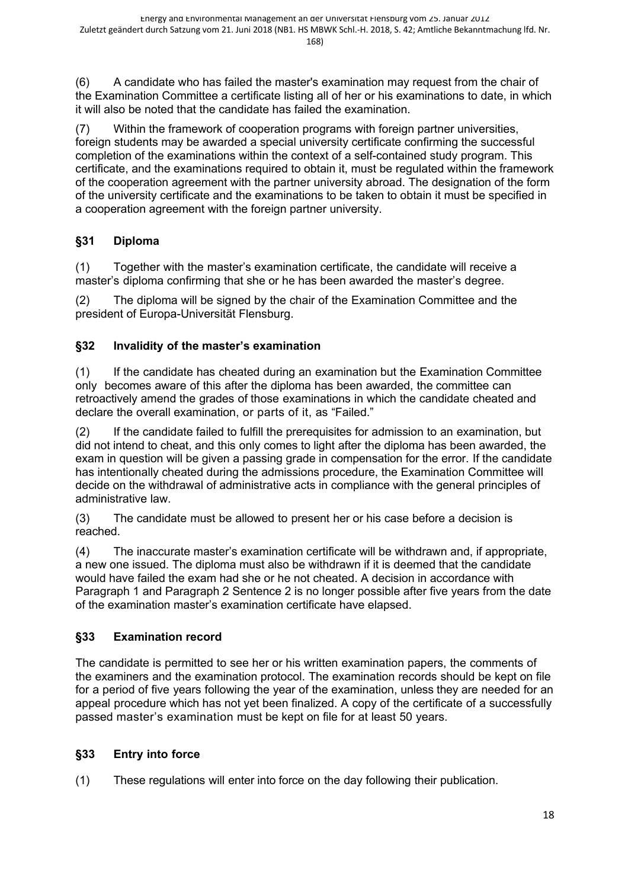(6) A candidate who has failed the master's examination may request from the chair of the Examination Committee a certificate listing all of her or his examinations to date, in which it will also be noted that the candidate has failed the examination.

(7) Within the framework of cooperation programs with foreign partner universities, foreign students may be awarded a special university certificate confirming the successful completion of the examinations within the context of a self-contained study program. This certificate, and the examinations required to obtain it, must be regulated within the framework of the cooperation agreement with the partner university abroad. The designation of the form of the university certificate and the examinations to be taken to obtain it must be specified in a cooperation agreement with the foreign partner university.

# **§31 Diploma**

(1) Together with the master's examination certificate, the candidate will receive a master's diploma confirming that she or he has been awarded the master's degree.

(2) The diploma will be signed by the chair of the Examination Committee and the president of Europa-Universität Flensburg.

# **§32 Invalidity of the master's examination**

(1) If the candidate has cheated during an examination but the Examination Committee only becomes aware of this after the diploma has been awarded, the committee can retroactively amend the grades of those examinations in which the candidate cheated and declare the overall examination, or parts of it, as "Failed."

(2) If the candidate failed to fulfill the prerequisites for admission to an examination, but did not intend to cheat, and this only comes to light after the diploma has been awarded, the exam in question will be given a passing grade in compensation for the error. If the candidate has intentionally cheated during the admissions procedure, the Examination Committee will decide on the withdrawal of administrative acts in compliance with the general principles of administrative law.

(3) The candidate must be allowed to present her or his case before a decision is reached.

(4) The inaccurate master's examination certificate will be withdrawn and, if appropriate, a new one issued. The diploma must also be withdrawn if it is deemed that the candidate would have failed the exam had she or he not cheated. A decision in accordance with Paragraph 1 and Paragraph 2 Sentence 2 is no longer possible after five years from the date of the examination master's examination certificate have elapsed.

# **§33 Examination record**

The candidate is permitted to see her or his written examination papers, the comments of the examiners and the examination protocol. The examination records should be kept on file for a period of five years following the year of the examination, unless they are needed for an appeal procedure which has not yet been finalized. A copy of the certificate of a successfully passed master's examination must be kept on file for at least 50 years.

# **§33 Entry into force**

(1) These regulations will enter into force on the day following their publication.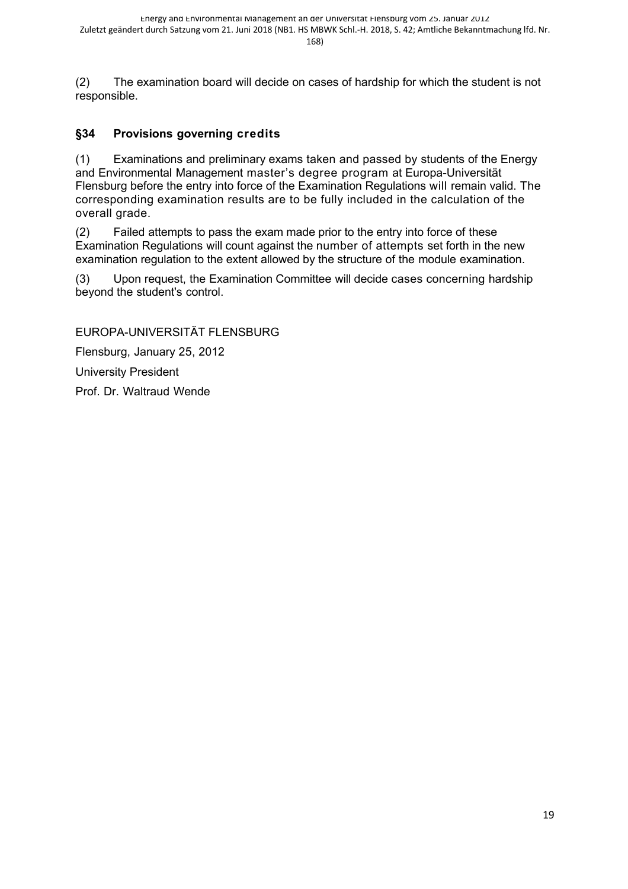(2) The examination board will decide on cases of hardship for which the student is not responsible.

# **§34 Provisions governing credits**

(1) Examinations and preliminary exams taken and passed by students of the Energy and Environmental Management master's degree program at Europa-Universität Flensburg before the entry into force of the Examination Regulations will remain valid. The corresponding examination results are to be fully included in the calculation of the overall grade.

(2) Failed attempts to pass the exam made prior to the entry into force of these Examination Regulations will count against the number of attempts set forth in the new examination regulation to the extent allowed by the structure of the module examination.

(3) Upon request, the Examination Committee will decide cases concerning hardship beyond the student's control.

EUROPA-UNIVERSITÄT FLENSBURG

Flensburg, January 25, 2012

University President

Prof. Dr. Waltraud Wende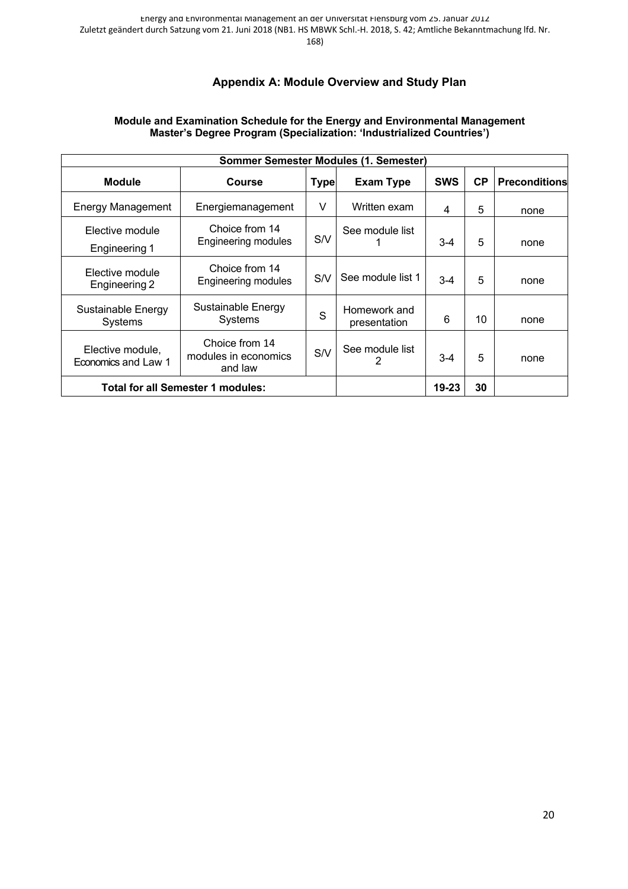# **Appendix A: Module Overview and Study Plan**

#### **Module and Examination Schedule for the Energy and Environmental Management Master's Degree Program (Specialization: 'Industrialized Countries')**

| Sommer Semester Modules (1. Semester)    |                                                   |             |                              |            |           |                      |  |
|------------------------------------------|---------------------------------------------------|-------------|------------------------------|------------|-----------|----------------------|--|
| <b>Module</b>                            | <b>Course</b>                                     | <b>Type</b> | <b>Exam Type</b>             | <b>SWS</b> | <b>CP</b> | <b>Preconditions</b> |  |
| <b>Energy Management</b>                 | Energiemanagement                                 | V           | Written exam                 | 4          | 5         | none                 |  |
| Elective module<br>Engineering 1         | Choice from 14<br>Engineering modules             | S/V         | See module list              | $3-4$      | 5         | none                 |  |
| Elective module<br>Engineering 2         | Choice from 14<br>Engineering modules             | S/V         | See module list 1            | $3 - 4$    | 5         | none                 |  |
| Sustainable Energy<br>Systems            | Sustainable Energy<br><b>Systems</b>              | S           | Homework and<br>presentation | 6          | 10        | none                 |  |
| Elective module,<br>Economics and Law 1  | Choice from 14<br>modules in economics<br>and law | S/V         | See module list<br>2         | $3-4$      | 5         | none                 |  |
| <b>Total for all Semester 1 modules:</b> |                                                   | $19 - 23$   | 30                           |            |           |                      |  |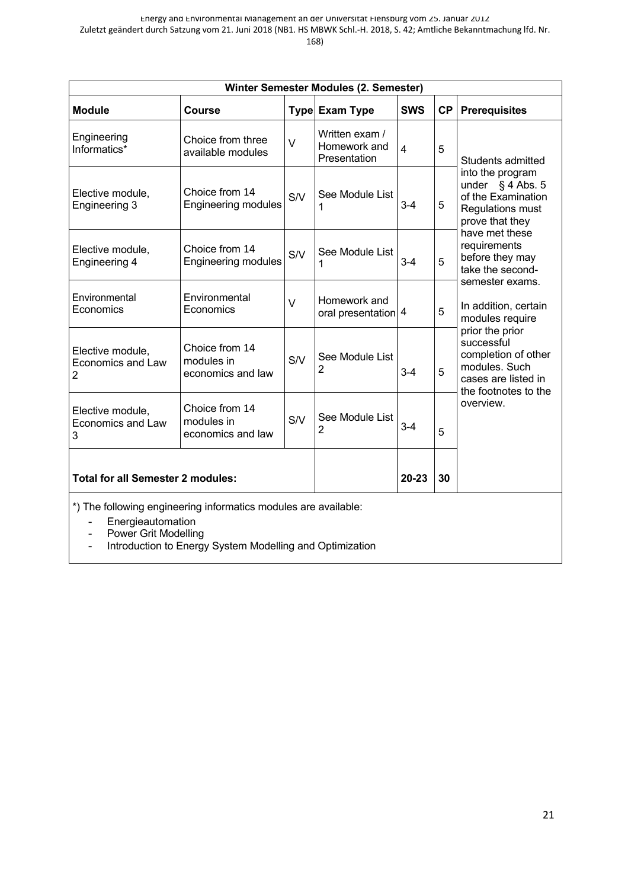| Winter Semester Modules (2. Semester)                                                |                                                   |            |                                                |                |           |                                                                                                                      |  |
|--------------------------------------------------------------------------------------|---------------------------------------------------|------------|------------------------------------------------|----------------|-----------|----------------------------------------------------------------------------------------------------------------------|--|
| <b>Module</b>                                                                        | <b>Course</b>                                     |            | Type Exam Type                                 | <b>SWS</b>     | <b>CP</b> | <b>Prerequisites</b>                                                                                                 |  |
| Engineering<br>Informatics*                                                          | Choice from three<br>available modules            | $\vee$     | Written exam /<br>Homework and<br>Presentation | $\overline{4}$ | 5         | Students admitted                                                                                                    |  |
| Elective module,<br>Engineering 3                                                    | Choice from 14<br>Engineering modules             | S/V        | See Module List<br>1                           | $3 - 4$        | 5         | into the program<br>under $\S$ 4 Abs. 5<br>of the Examination<br>Regulations must<br>prove that they                 |  |
| Elective module,<br>Engineering 4                                                    | Choice from 14<br><b>Engineering modules</b>      | S/V        | See Module List<br>1                           | $3 - 4$        | 5         | have met these<br>requirements<br>before they may<br>take the second-                                                |  |
| Environmental<br>Economics                                                           | Environmental<br>Economics                        | $\vee$     | Homework and<br>oral presentation 4            |                | 5         | semester exams.<br>In addition, certain<br>modules require                                                           |  |
| Elective module,<br>Economics and Law<br>2                                           | Choice from 14<br>modules in<br>economics and law | <b>S/V</b> | See Module List<br>2                           | $3 - 4$        | 5         | prior the prior<br>successful<br>completion of other<br>modules. Such<br>cases are listed in<br>the footnotes to the |  |
| Elective module,<br>Economics and Law<br>3                                           | Choice from 14<br>modules in<br>economics and law | <b>S/V</b> | See Module List<br>2                           | $3 - 4$        | 5         | overview.                                                                                                            |  |
| <b>Total for all Semester 2 modules:</b>                                             |                                                   | 20-23      | 30                                             |                |           |                                                                                                                      |  |
| *) The following engineering informatics modules are available:<br>Energieautomation |                                                   |            |                                                |                |           |                                                                                                                      |  |

- Power Grit Modelling
- Introduction to Energy System Modelling and Optimization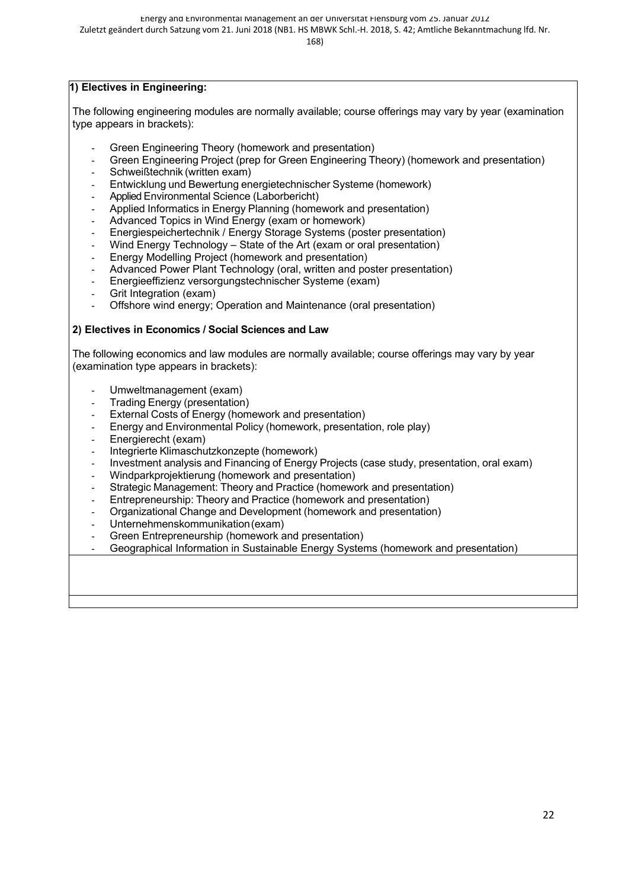Energy and Environmental Management an der Universität Flensburg vom 25. Januar 2012

Zuletzt geändert durch Satzung vom 21. Juni 2018 (NB1. HS MBWK Schl.-H. 2018, S. 42; Amtliche Bekanntmachung lfd. Nr.

168)

#### **1) Electives in Engineering:**

The following engineering modules are normally available; course offerings may vary by year (examination type appears in brackets):

- Green Engineering Theory (homework and presentation)
- Green Engineering Project (prep for Green Engineering Theory) (homework and presentation)
- Schweißtechnik (written exam)
- Entwicklung und Bewertung energietechnischer Systeme (homework)
- Applied Environmental Science (Laborbericht)
- Applied Informatics in Energy Planning (homework and presentation)
- Advanced Topics in Wind Energy (exam or homework)
- Energiespeichertechnik / Energy Storage Systems (poster presentation)
- Wind Energy Technology State of the Art (exam or oral presentation)
- Energy Modelling Project (homework and presentation)
- Advanced Power Plant Technology (oral, written and poster presentation)
- Energieeffizienz versorgungstechnischer Systeme (exam)
- Grit Integration (exam)
- Offshore wind energy; Operation and Maintenance (oral presentation)

#### **2) Electives in Economics / Social Sciences and Law**

The following economics and law modules are normally available; course offerings may vary by year (examination type appears in brackets):

- Umweltmanagement (exam)
- Trading Energy (presentation)
- External Costs of Energy (homework and presentation)
- Energy and Environmental Policy (homework, presentation, role play)
- Energierecht (exam)
- Integrierte Klimaschutzkonzepte (homework)
- Investment analysis and Financing of Energy Projects (case study, presentation, oral exam)
- Windparkprojektierung (homework and presentation)
- Strategic Management: Theory and Practice (homework and presentation)
- Entrepreneurship: Theory and Practice (homework and presentation)
- Organizational Change and Development (homework and presentation)
- Unternehmenskommunikation(exam)
- Green Entrepreneurship (homework and presentation)
- Geographical Information in Sustainable Energy Systems (homework and presentation)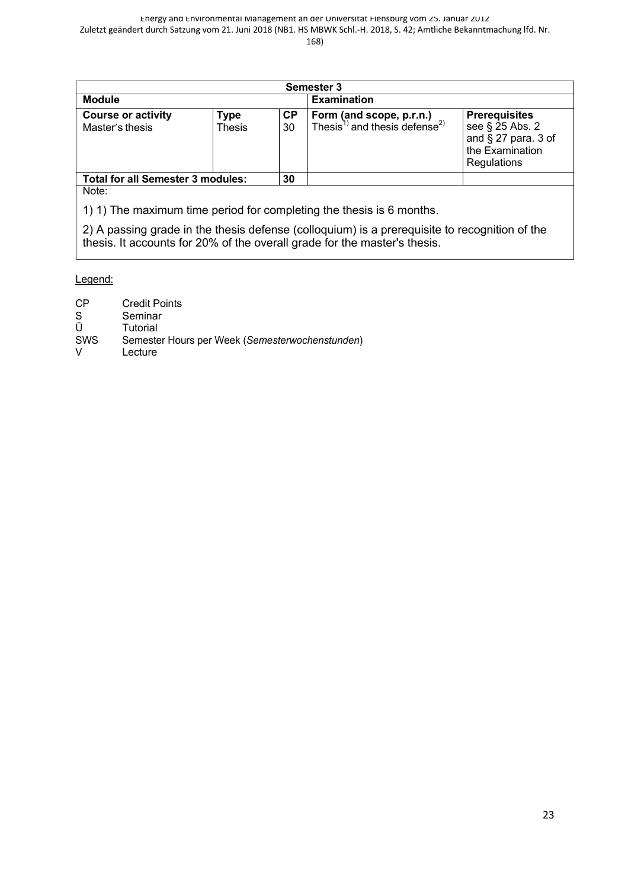| <b>Semester 3</b>                                                                                                                                                          |  |                 |                                                                                          |                                                                                                     |  |  |
|----------------------------------------------------------------------------------------------------------------------------------------------------------------------------|--|-----------------|------------------------------------------------------------------------------------------|-----------------------------------------------------------------------------------------------------|--|--|
| <b>Module</b><br><b>Examination</b>                                                                                                                                        |  |                 |                                                                                          |                                                                                                     |  |  |
| <b>Course or activity</b><br><b>Type</b><br>Thesis<br>Master's thesis                                                                                                      |  | <b>CP</b><br>30 | <b>Form (and scope, p.r.n.)</b><br>Thesis <sup>1)</sup> and thesis defense <sup>2)</sup> | <b>Prerequisites</b><br>see § 25 Abs. 2<br>and $\S$ 27 para. 3 of<br>the Examination<br>Regulations |  |  |
| <b>Total for all Semester 3 modules:</b>                                                                                                                                   |  | 30              |                                                                                          |                                                                                                     |  |  |
| Note:                                                                                                                                                                      |  |                 |                                                                                          |                                                                                                     |  |  |
| 1) 1) The maximum time period for completing the thesis is 6 months.                                                                                                       |  |                 |                                                                                          |                                                                                                     |  |  |
| 2) A passing grade in the thesis defense (colloquium) is a prerequisite to recognition of the<br>thesis. It accounts for 20% of the overall grade for the master's thesis. |  |                 |                                                                                          |                                                                                                     |  |  |

#### 2) Das bestandene Kolloquium ist erforderlich für die Anerkennung der Thesis. Es geht zu 20 % in die Anerkennung der Thesis. Es geht zu 20 % in die Anerkennung der Thesis. Es geht zu 20 % in die Anerkennung der Thesis. Es Legend:

- die Gesamtbewertung der Master Theorem and Master Theorem and Theorem and Theorem and Theorem and Theorem and <br>CP Credit Points
- S Seminar<br>Ü Tutorial
- 
- Ü Tutorial<br>SWS Semeste Semester Hours per Week (Semesterwochenstunden)
- V Lecture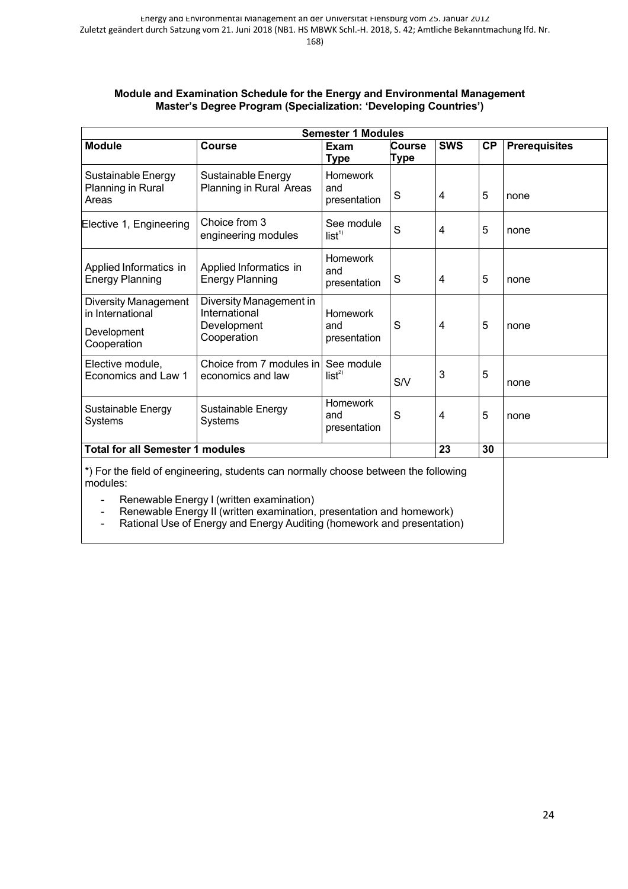#### **Module and Examination Schedule for the Energy and Environmental Management Master's Degree Program (Specialization: 'Developing Countries')**

|                                                                               |                                                                        | <b>Semester 1 Modules</b>              |                       |            |           |                      |
|-------------------------------------------------------------------------------|------------------------------------------------------------------------|----------------------------------------|-----------------------|------------|-----------|----------------------|
| <b>Module</b>                                                                 | <b>Course</b>                                                          | <b>Exam</b><br>Type                    | <b>Course</b><br>Type | <b>SWS</b> | <b>CP</b> | <b>Prerequisites</b> |
| Sustainable Energy<br>Planning in Rural<br>Areas                              | Sustainable Energy<br>Planning in Rural Areas                          | <b>Homework</b><br>and<br>presentation | S                     | 4          | 5         | none                 |
| Elective 1, Engineering                                                       | Choice from 3<br>engineering modules                                   | See module<br>list <sup>1</sup>        | S                     | 4          | 5         | none                 |
| Applied Informatics in<br><b>Energy Planning</b>                              | Applied Informatics in<br><b>Energy Planning</b>                       | Homework<br>and<br>presentation        | S                     | 4          | 5         | none                 |
| <b>Diversity Management</b><br>in International<br>Development<br>Cooperation | Diversity Management in<br>International<br>Development<br>Cooperation | Homework<br>and<br>presentation        | S                     | 4          | 5         | none                 |
| Elective module,<br>Economics and Law 1                                       | Choice from 7 modules in See module<br>economics and law               | $list^{2)}$                            | S/V                   | 3          | 5         | none                 |
| Sustainable Energy<br><b>Systems</b>                                          | Sustainable Energy<br><b>Systems</b>                                   | Homework<br>and<br>presentation        | S                     | 4          | 5         | none                 |
| <b>Total for all Semester 1 modules</b>                                       |                                                                        |                                        |                       | 23         | 30        |                      |

\*) For the field of engineering, students can normally choose between the following modules:

- Renewable Energy I (written examination)
- Renewable Energy II (written examination, presentation and homework)
- Rational Use of Energy and Energy Auditing (homework and presentation)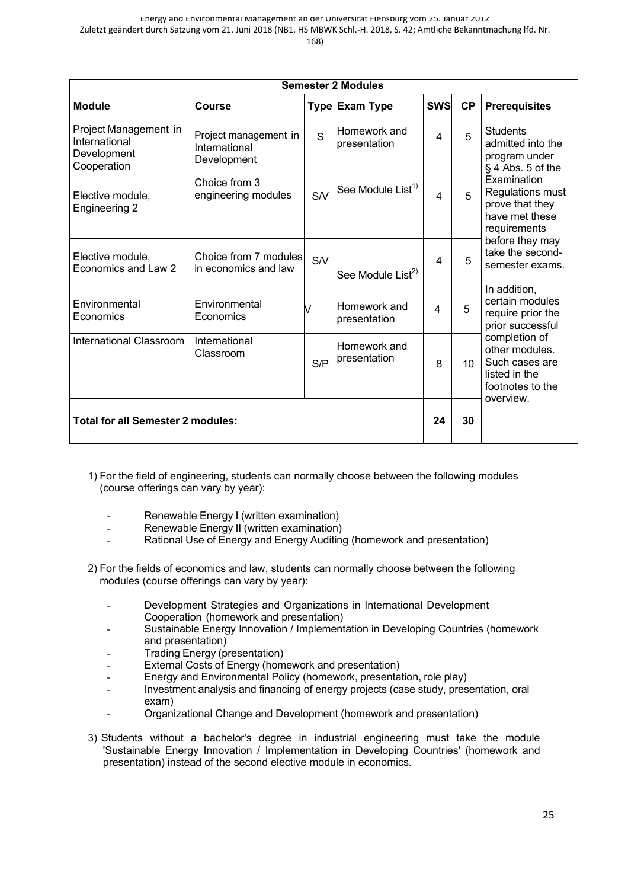| ×.<br>×<br>v.<br>۰.<br>۰,<br>۰ |  |
|--------------------------------|--|
|--------------------------------|--|

|                                                                      | <b>Semester 2 Modules</b>                             |     |                               |            |                 |                                                                                                     |  |
|----------------------------------------------------------------------|-------------------------------------------------------|-----|-------------------------------|------------|-----------------|-----------------------------------------------------------------------------------------------------|--|
| <b>Module</b>                                                        | Course                                                |     | Type Exam Type                | <b>SWS</b> | <b>CP</b>       | <b>Prerequisites</b>                                                                                |  |
| Project Management in<br>International<br>Development<br>Cooperation | Project management in<br>International<br>Development | S   | Homework and<br>presentation  | 4          | 5               | <b>Students</b><br>admitted into the<br>program under<br>$§$ 4 Abs. 5 of the                        |  |
| Elective module,<br>Engineering 2                                    | Choice from 3<br>engineering modules                  | S/V | See Module List <sup>1)</sup> | 4          | 5               | Examination<br>Regulations must<br>prove that they<br>have met these<br>requirements                |  |
| Elective module,<br>Economics and Law 2                              | Choice from 7 modules<br>in economics and law         | S/V | See Module List <sup>2)</sup> | 4          | 5               | before they may<br>take the second-<br>semester exams.                                              |  |
| Environmental<br>Economics                                           | Environmental<br>Economics                            | V   | Homework and<br>presentation  | 4          | 5               | In addition,<br>certain modules<br>require prior the<br>prior successful                            |  |
| <b>International Classroom</b>                                       | International<br>Classroom                            | S/P | Homework and<br>presentation  | 8          | 10 <sup>1</sup> | completion of<br>other modules.<br>Such cases are<br>listed in the<br>footnotes to the<br>overview. |  |
| <b>Total for all Semester 2 modules:</b>                             |                                                       | 24  | 30                            |            |                 |                                                                                                     |  |

- 1) For the field of engineering, students can normally choose between the following modules (course offerings can vary by year):
	- Renewable Energy I (written examination)
	- Renewable Energy II (written examination)
	- Rational Use of Energy and Energy Auditing (homework and presentation)
- 2) For the fields of economics and law, students can normally choose between the following modules (course offerings can vary by year):
	- Development Strategies and Organizations in International Development Cooperation (homework and presentation)
	- Sustainable Energy Innovation / Implementation in Developing Countries (homework and presentation)
	- Trading Energy (presentation)
	- External Costs of Energy (homework and presentation)
	- Energy and Environmental Policy (homework, presentation, role play)
	- Investment analysis and financing of energy projects (case study, presentation, oral exam)
	- Organizational Change and Development (homework and presentation)
- 3) Students without a bachelor's degree in industrial engineering must take the module 'Sustainable Energy Innovation / Implementation in Developing Countries' (homework and presentation) instead of the second elective module in economics.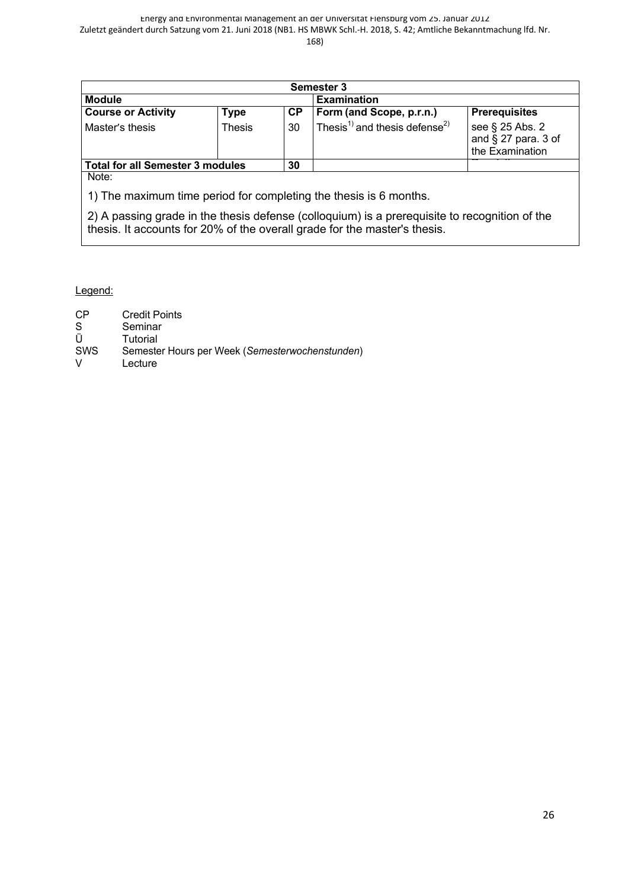| <b>Semester 3</b>                                                                                         |               |    |                                                       |                                                              |  |  |  |  |
|-----------------------------------------------------------------------------------------------------------|---------------|----|-------------------------------------------------------|--------------------------------------------------------------|--|--|--|--|
| Examination<br><b>Module</b>                                                                              |               |    |                                                       |                                                              |  |  |  |  |
| <b>Course or Activity</b><br><b>Prerequisites</b><br><b>Form (and Scope, p.r.n.)</b><br><b>CP</b><br>Type |               |    |                                                       |                                                              |  |  |  |  |
| Master's thesis                                                                                           | <b>Thesis</b> | 30 | Thesis <sup>1)</sup> and thesis defense <sup>2)</sup> | see § 25 Abs. 2<br>and $\S$ 27 para. 3 of<br>the Examination |  |  |  |  |
| <b>Total for all Semester 3 modules</b><br>30                                                             |               |    |                                                       |                                                              |  |  |  |  |
| Note:                                                                                                     |               |    |                                                       |                                                              |  |  |  |  |

1) The maximum time period for completing the thesis is 6 months.

2) A passing grade in the thesis defense (colloquium) is a prerequisite to recognition of the thesis. It accounts for 20% of the overall grade for the master's thesis.

Legend:

| CP         | <b>Credit Points</b>                            |
|------------|-------------------------------------------------|
| S          | Seminar                                         |
| Ü          | Tutorial                                        |
| <b>SWS</b> | Semester Hours per Week (Semesterwochenstunden) |
| v          | Lecture                                         |